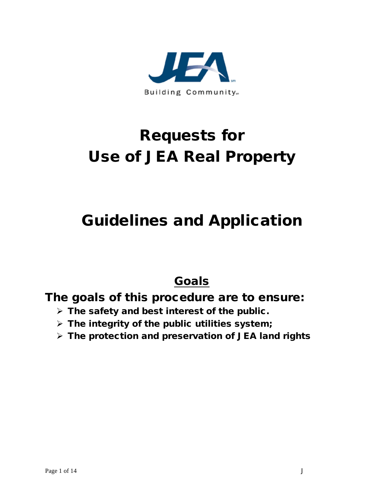

# Requests for Use of JEA Real Property

# Guidelines and Application

# Goals

## The goals of this procedure are to ensure:

- $\triangleright$  The safety and best interest of the public.
- $\triangleright$  The integrity of the public utilities system;
- $\triangleright$  The protection and preservation of JEA land rights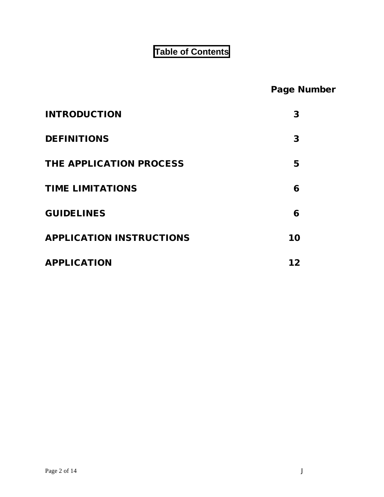# **Table of Contents**

## Page Number

| <b>INTRODUCTION</b>             | З  |
|---------------------------------|----|
| <b>DEFINITIONS</b>              | 3  |
| THE APPLICATION PROCESS         | 5  |
| <b>TIME LIMITATIONS</b>         | 6  |
| <b>GUIDELINES</b>               | 6  |
| <b>APPLICATION INSTRUCTIONS</b> | 10 |
| <b>APPLICATION</b>              | 12 |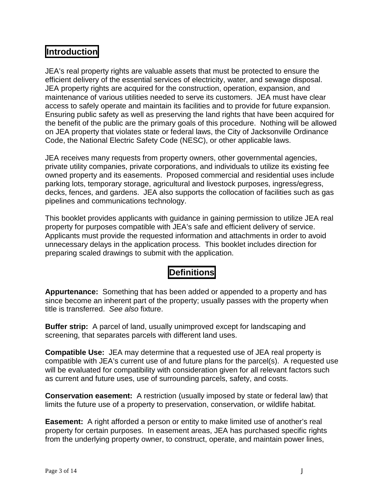## **Introduction**

JEA's real property rights are valuable assets that must be protected to ensure the efficient delivery of the essential services of electricity, water, and sewage disposal. JEA property rights are acquired for the construction, operation, expansion, and maintenance of various utilities needed to serve its customers. JEA must have clear access to safely operate and maintain its facilities and to provide for future expansion. Ensuring public safety as well as preserving the land rights that have been acquired for the benefit of the public are the primary goals of this procedure. Nothing will be allowed on JEA property that violates state or federal laws, the City of Jacksonville Ordinance Code, the National Electric Safety Code (NESC), or other applicable laws.

JEA receives many requests from property owners, other governmental agencies, private utility companies, private corporations, and individuals to utilize its existing fee owned property and its easements. Proposed commercial and residential uses include parking lots, temporary storage, agricultural and livestock purposes, ingress/egress, decks, fences, and gardens. JEA also supports the collocation of facilities such as gas pipelines and communications technology.

This booklet provides applicants with guidance in gaining permission to utilize JEA real property for purposes compatible with JEA's safe and efficient delivery of service. Applicants must provide the requested information and attachments in order to avoid unnecessary delays in the application process. This booklet includes direction for preparing scaled drawings to submit with the application.

## **Definitions**

**Appurtenance:** Something that has been added or appended to a property and has since become an inherent part of the property; usually passes with the property when title is transferred. *See also* fixture.

**Buffer strip:** A parcel of land, usually unimproved except for landscaping and screening, that separates parcels with different land uses.

**Compatible Use:** JEA may determine that a requested use of JEA real property is compatible with JEA's current use of and future plans for the parcel(s). A requested use will be evaluated for compatibility with consideration given for all relevant factors such as current and future uses, use of surrounding parcels, safety, and costs.

**Conservation easement:** A restriction (usually imposed by state or federal law) that limits the future use of a property to preservation, conservation, or wildlife habitat.

**Easement:** A right afforded a person or entity to make limited use of another's real property for certain purposes. In easement areas, JEA has purchased specific rights from the underlying property owner, to construct, operate, and maintain power lines,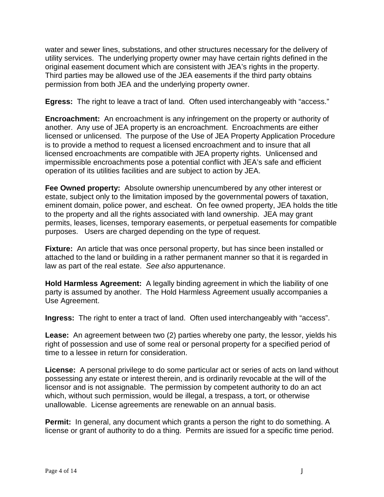water and sewer lines, substations, and other structures necessary for the delivery of utility services. The underlying property owner may have certain rights defined in the original easement document which are consistent with JEA's rights in the property. Third parties may be allowed use of the JEA easements if the third party obtains permission from both JEA and the underlying property owner.

**Egress:** The right to leave a tract of land. Often used interchangeably with "access."

**Encroachment:** An encroachment is any infringement on the property or authority of another. Any use of JEA property is an encroachment. Encroachments are either licensed or unlicensed. The purpose of the Use of JEA Property Application Procedure is to provide a method to request a licensed encroachment and to insure that all licensed encroachments are compatible with JEA property rights. Unlicensed and impermissible encroachments pose a potential conflict with JEA's safe and efficient operation of its utilities facilities and are subject to action by JEA.

**Fee Owned property:** Absolute ownership unencumbered by any other interest or estate, subject only to the limitation imposed by the governmental powers of taxation, eminent domain, police power, and escheat.On fee owned property, JEA holds the title to the property and all the rights associated with land ownership. JEA may grant permits, leases, licenses, temporary easements, or perpetual easements for compatible purposes. Users are charged depending on the type of request.

**Fixture:** An article that was once personal property, but has since been installed or attached to the land or building in a rather permanent manner so that it is regarded in law as part of the real estate. *See also* appurtenance.

**Hold Harmless Agreement:** A legally binding agreement in which the liability of one party is assumed by another. The Hold Harmless Agreement usually accompanies a Use Agreement.

**Ingress:** The right to enter a tract of land. Often used interchangeably with "access".

**Lease:** An agreement between two (2) parties whereby one party, the lessor, yields his right of possession and use of some real or personal property for a specified period of time to a lessee in return for consideration.

**License:** A personal privilege to do some particular act or series of acts on land without possessing any estate or interest therein, and is ordinarily revocable at the will of the licensor and is not assignable. The permission by competent authority to do an act which, without such permission, would be illegal, a trespass, a tort, or otherwise unallowable. License agreements are renewable on an annual basis.

**Permit:** In general, any document which grants a person the right to do something. A license or grant of authority to do a thing. Permits are issued for a specific time period.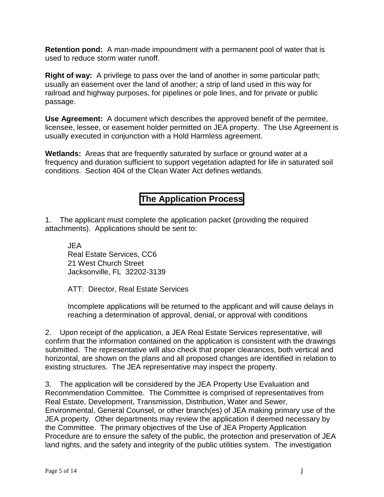**Retention pond:** A man-made impoundment with a permanent pool of water that is used to reduce storm water runoff.

**Right of way:** A privilege to pass over the land of another in some particular path; usually an easement over the land of another; a strip of land used in this way for railroad and highway purposes, for pipelines or pole lines, and for private or public passage.

**Use Agreement:** A document which describes the approved benefit of the permitee, licensee, lessee, or easement holder permitted on JEA property. The Use Agreement is usually executed in conjunction with a Hold Harmless agreement.

**Wetlands:** Areas that are frequently saturated by surface or ground water at a frequency and duration sufficient to support vegetation adapted for life in saturated soil conditions. Section 404 of the Clean Water Act defines wetlands.

### **The Application Process**

1. The applicant must complete the application packet (providing the required attachments). Applications should be sent to:

JEA Real Estate Services, CC6 21 West Church Street Jacksonville, FL 32202-3139

ATT: Director, Real Estate Services

Incomplete applications will be returned to the applicant and will cause delays in reaching a determination of approval, denial, or approval with conditions

2. Upon receipt of the application, a JEA Real Estate Services representative, will confirm that the information contained on the application is consistent with the drawings submitted. The representative will also check that proper clearances, both vertical and horizontal, are shown on the plans and all proposed changes are identified in relation to existing structures. The JEA representative may inspect the property.

3. The application will be considered by the JEA Property Use Evaluation and Recommendation Committee. The Committee is comprised of representatives from Real Estate, Development, Transmission, Distribution, Water and Sewer, Environmental, General Counsel, or other branch(es) of JEA making primary use of the JEA property. Other departments may review the application if deemed necessary by the Committee. The primary objectives of the Use of JEA Property Application Procedure are to ensure the safety of the public, the protection and preservation of JEA land rights, and the safety and integrity of the public utilities system. The investigation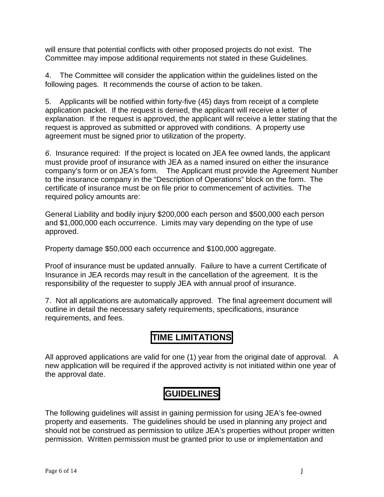will ensure that potential conflicts with other proposed projects do not exist. The Committee may impose additional requirements not stated in these Guidelines.

4. The Committee will consider the application within the guidelines listed on the following pages. It recommends the course of action to be taken.

5. Applicants will be notified within forty-five (45) days from receipt of a complete application packet. If the request is denied, the applicant will receive a letter of explanation. If the request is approved, the applicant will receive a letter stating that the request is approved as submitted or approved with conditions. A property use agreement must be signed prior to utilization of the property.

*6*. Insurance required: If the project is located on JEA fee owned lands, the applicant must provide proof of insurance with JEA as a named insured on either the insurance company's form or on JEA's form. The Applicant must provide the Agreement Number to the insurance company in the "Description of Operations" block on the form. The certificate of insurance must be on file prior to commencement of activities. The required policy amounts are:

General Liability and bodily injury \$200,000 each person and \$500,000 each person and \$1,000,000 each occurrence. Limits may vary depending on the type of use approved.

Property damage \$50,000 each occurrence and \$100,000 aggregate.

Proof of insurance must be updated annually. Failure to have a current Certificate of Insurance in JEA records may result in the cancellation of the agreement. It is the responsibility of the requester to supply JEA with annual proof of insurance.

7. Not all applications are automatically approved. The final agreement document will outline in detail the necessary safety requirements, specifications, insurance requirements, and fees.

## **TIME LIMITATIONS**

All approved applications are valid for one (1) year from the original date of approval. A new application will be required if the approved activity is not initiated within one year of the approval date.

## **GUIDELINES**

The following guidelines will assist in gaining permission for using JEA's fee-owned property and easements. The guidelines should be used in planning any project and should not be construed as permission to utilize JEA's properties without proper written permission. Written permission must be granted prior to use or implementation and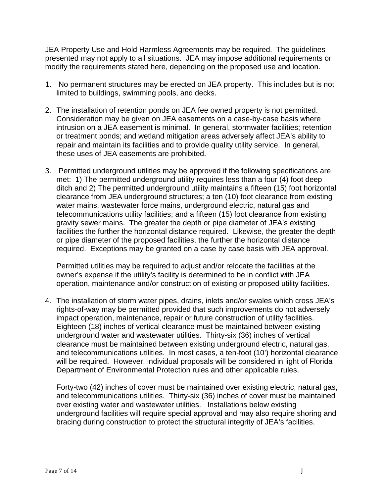JEA Property Use and Hold Harmless Agreements may be required. The guidelines presented may not apply to all situations. JEA may impose additional requirements or modify the requirements stated here, depending on the proposed use and location.

- 1. No permanent structures may be erected on JEA property. This includes but is not limited to buildings, swimming pools, and decks.
- 2. The installation of retention ponds on JEA fee owned property is not permitted. Consideration may be given on JEA easements on a case-by-case basis where intrusion on a JEA easement is minimal. In general, stormwater facilities; retention or treatment ponds; and wetland mitigation areas adversely affect JEA's ability to repair and maintain its facilities and to provide quality utility service. In general, these uses of JEA easements are prohibited.
- 3. Permitted underground utilities may be approved if the following specifications are met: 1) The permitted underground utility requires less than a four (4) foot deep ditch and 2) The permitted underground utility maintains a fifteen (15) foot horizontal clearance from JEA underground structures; a ten (10) foot clearance from existing water mains, wastewater force mains, underground electric, natural gas and telecommunications utility facilities; and a fifteen (15) foot clearance from existing gravity sewer mains. The greater the depth or pipe diameter of JEA's existing facilities the further the horizontal distance required. Likewise, the greater the depth or pipe diameter of the proposed facilities, the further the horizontal distance required. Exceptions may be granted on a case by case basis with JEA approval.

Permitted utilities may be required to adjust and/or relocate the facilities at the owner's expense if the utility's facility is determined to be in conflict with JEA operation, maintenance and/or construction of existing or proposed utility facilities.

4. The installation of storm water pipes, drains, inlets and/or swales which cross JEA's rights-of-way may be permitted provided that such improvements do not adversely impact operation, maintenance, repair or future construction of utility facilities. Eighteen (18) inches of vertical clearance must be maintained between existing underground water and wastewater utilities. Thirty-six (36) inches of vertical clearance must be maintained between existing underground electric, natural gas, and telecommunications utilities. In most cases, a ten-foot (10') horizontal clearance will be required. However, individual proposals will be considered in light of Florida Department of Environmental Protection rules and other applicable rules.

Forty-two (42) inches of cover must be maintained over existing electric, natural gas, and telecommunications utilities. Thirty-six (36) inches of cover must be maintained over existing water and wastewater utilities. Installations below existing underground facilities will require special approval and may also require shoring and bracing during construction to protect the structural integrity of JEA's facilities.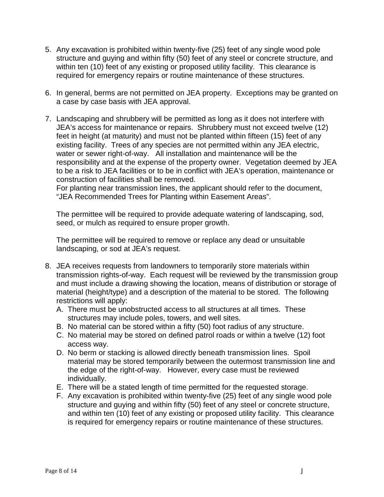- 5. Any excavation is prohibited within twenty-five (25) feet of any single wood pole structure and guying and within fifty (50) feet of any steel or concrete structure, and within ten (10) feet of any existing or proposed utility facility. This clearance is required for emergency repairs or routine maintenance of these structures.
- 6. In general, berms are not permitted on JEA property. Exceptions may be granted on a case by case basis with JEA approval.
- 7. Landscaping and shrubbery will be permitted as long as it does not interfere with JEA's access for maintenance or repairs. Shrubbery must not exceed twelve (12) feet in height (at maturity) and must not be planted within fifteen (15) feet of any existing facility. Trees of any species are not permitted within any JEA electric, water or sewer right-of-way. All installation and maintenance will be the responsibility and at the expense of the property owner. Vegetation deemed by JEA to be a risk to JEA facilities or to be in conflict with JEA's operation, maintenance or construction of facilities shall be removed.

For planting near transmission lines, the applicant should refer to the document, "JEA Recommended Trees for Planting within Easement Areas".

The permittee will be required to provide adequate watering of landscaping, sod, seed, or mulch as required to ensure proper growth.

The permittee will be required to remove or replace any dead or unsuitable landscaping, or sod at JEA's request.

- 8. JEA receives requests from landowners to temporarily store materials within transmission rights-of-way. Each request will be reviewed by the transmission group and must include a drawing showing the location, means of distribution or storage of material (height/type) and a description of the material to be stored. The following restrictions will apply:
	- A. There must be unobstructed access to all structures at all times. These structures may include poles, towers, and well sites.
	- B. No material can be stored within a fifty (50) foot radius of any structure.
	- C. No material may be stored on defined patrol roads or within a twelve (12) foot access way.
	- D. No berm or stacking is allowed directly beneath transmission lines. Spoil material may be stored temporarily between the outermost transmission line and the edge of the right-of-way. However, every case must be reviewed individually.
	- E. There will be a stated length of time permitted for the requested storage.
	- F. Any excavation is prohibited within twenty-five (25) feet of any single wood pole structure and guying and within fifty (50) feet of any steel or concrete structure, and within ten (10) feet of any existing or proposed utility facility. This clearance is required for emergency repairs or routine maintenance of these structures.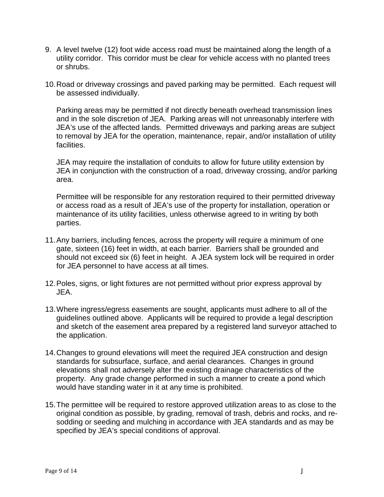- 9. A level twelve (12) foot wide access road must be maintained along the length of a utility corridor. This corridor must be clear for vehicle access with no planted trees or shrubs.
- 10.Road or driveway crossings and paved parking may be permitted. Each request will be assessed individually.

Parking areas may be permitted if not directly beneath overhead transmission lines and in the sole discretion of JEA. Parking areas will not unreasonably interfere with JEA's use of the affected lands. Permitted driveways and parking areas are subject to removal by JEA for the operation, maintenance, repair, and/or installation of utility facilities.

JEA may require the installation of conduits to allow for future utility extension by JEA in conjunction with the construction of a road, driveway crossing, and/or parking area.

Permittee will be responsible for any restoration required to their permitted driveway or access road as a result of JEA's use of the property for installation, operation or maintenance of its utility facilities, unless otherwise agreed to in writing by both parties.

- 11.Any barriers, including fences, across the property will require a minimum of one gate, sixteen (16) feet in width, at each barrier. Barriers shall be grounded and should not exceed six (6) feet in height. A JEA system lock will be required in order for JEA personnel to have access at all times.
- 12.Poles, signs, or light fixtures are not permitted without prior express approval by JEA.
- 13.Where ingress/egress easements are sought, applicants must adhere to all of the guidelines outlined above. Applicants will be required to provide a legal description and sketch of the easement area prepared by a registered land surveyor attached to the application.
- 14.Changes to ground elevations will meet the required JEA construction and design standards for subsurface, surface, and aerial clearances. Changes in ground elevations shall not adversely alter the existing drainage characteristics of the property. Any grade change performed in such a manner to create a pond which would have standing water in it at any time is prohibited.
- 15.The permittee will be required to restore approved utilization areas to as close to the original condition as possible, by grading, removal of trash, debris and rocks, and resodding or seeding and mulching in accordance with JEA standards and as may be specified by JEA's special conditions of approval.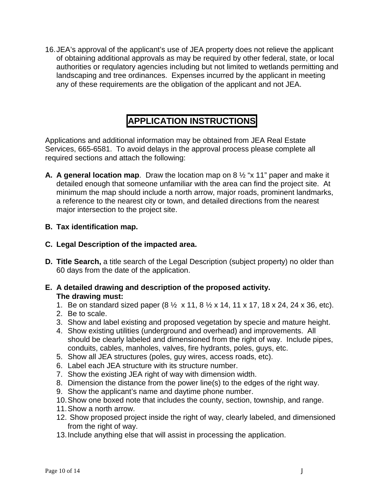16.JEA's approval of the applicant's use of JEA property does not relieve the applicant of obtaining additional approvals as may be required by other federal, state, or local authorities or requlatory agencies including but not limited to wetlands permitting and landscaping and tree ordinances. Expenses incurred by the applicant in meeting any of these requirements are the obligation of the applicant and not JEA.

## **APPLICATION INSTRUCTIONS**

Applications and additional information may be obtained from JEA Real Estate Services, 665-6581. To avoid delays in the approval process please complete all required sections and attach the following:

**A. A general location map**. Draw the location map on 8 ½ "x 11" paper and make it detailed enough that someone unfamiliar with the area can find the project site. At minimum the map should include a north arrow, major roads, prominent landmarks, a reference to the nearest city or town, and detailed directions from the nearest major intersection to the project site.

#### **B. Tax identification map.**

#### **C. Legal Description of the impacted area.**

**D. Title Search,** a title search of the Legal Description (subject property) no older than 60 days from the date of the application.

#### **E. A detailed drawing and description of the proposed activity. The drawing must:**

- 1. Be on standard sized paper (8 ½ x 11, 8 ½ x 14, 11 x 17, 18 x 24, 24 x 36, etc).
- 2. Be to scale.
- 3. Show and label existing and proposed vegetation by specie and mature height.
- 4. Show existing utilities (underground and overhead) and improvements. All should be clearly labeled and dimensioned from the right of way. Include pipes, conduits, cables, manholes, valves, fire hydrants, poles, guys, etc.
- 5. Show all JEA structures (poles, guy wires, access roads, etc).
- 6. Label each JEA structure with its structure number.
- 7. Show the existing JEA right of way with dimension width.
- 8. Dimension the distance from the power line(s) to the edges of the right way.
- 9. Show the applicant's name and daytime phone number.
- 10.Show one boxed note that includes the county, section, township, and range.
- 11.Show a north arrow.
- 12. Show proposed project inside the right of way, clearly labeled, and dimensioned from the right of way.
- 13.Include anything else that will assist in processing the application.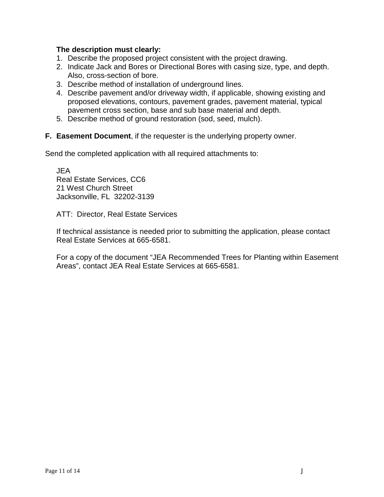#### **The description must clearly:**

- 1. Describe the proposed project consistent with the project drawing.
- 2. Indicate Jack and Bores or Directional Bores with casing size, type, and depth. Also, cross-section of bore.
- 3. Describe method of installation of underground lines.
- 4. Describe pavement and/or driveway width, if applicable, showing existing and proposed elevations, contours, pavement grades, pavement material, typical pavement cross section, base and sub base material and depth.
- 5. Describe method of ground restoration (sod, seed, mulch).
- **F. Easement Document**, if the requester is the underlying property owner.

Send the completed application with all required attachments to:

JEA Real Estate Services, CC6 21 West Church Street Jacksonville, FL 32202-3139

ATT: Director, Real Estate Services

If technical assistance is needed prior to submitting the application, please contact Real Estate Services at 665-6581.

For a copy of the document "JEA Recommended Trees for Planting within Easement Areas", contact JEA Real Estate Services at 665-6581.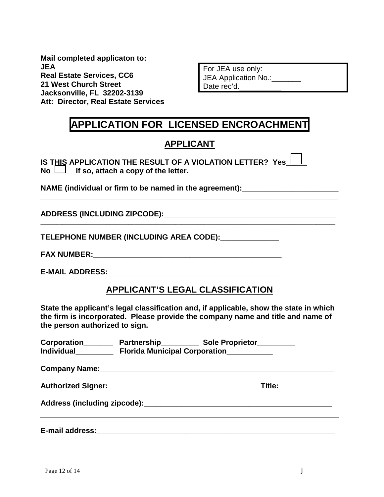**Mail completed applicaton to: JEA Real Estate Services, CC6 21 West Church Street Jacksonville, FL 32202-3139 Att: Director, Real Estate Services**

For JEA use only: JEA Application No.:

Date rec'd.

## **APPLICATION FOR LICENSED ENCROACHMENT**

#### **APPLICANT**

**\_\_\_\_\_\_\_\_\_\_\_\_\_\_\_\_\_\_\_\_\_\_\_\_\_\_\_\_\_\_\_\_\_\_\_\_\_\_\_\_\_\_\_\_\_\_\_\_\_\_\_\_\_\_\_\_\_\_\_\_\_\_\_\_\_\_\_\_\_\_\_**

\_\_\_\_\_\_\_\_\_\_\_\_\_\_\_\_\_\_\_\_\_\_\_\_\_\_\_\_\_\_\_\_\_\_\_\_\_\_\_\_\_\_\_\_\_\_\_\_\_\_\_\_\_\_\_\_\_\_\_\_\_\_\_\_\_\_\_\_\_\_\_\_\_\_\_\_\_\_\_\_\_\_\_\_\_\_\_\_\_\_\_\_\_\_

**IS THIS APPLICATION THE RESULT OF A VIOLATION LETTER? Yes**  $\Box$ **No\_\_\_\_\_ If so, attach a copy of the letter.**

**NAME** (individual or firm to be named in the agreement):

**ADDRESS (INCLUDING ZIPCODE):\_\_\_\_\_\_\_\_\_\_\_\_\_\_\_\_\_\_\_\_\_\_\_\_\_\_\_\_\_\_\_\_\_\_\_\_\_\_\_\_\_**

**TELEPHONE NUMBER (INCLUDING AREA CODE):\_\_\_\_\_\_\_\_\_\_\_\_\_\_**

**FAX NUMBER:\_\_\_\_\_\_\_\_\_\_\_\_\_\_\_\_\_\_\_\_\_\_\_\_\_\_\_\_\_\_\_\_\_\_\_\_\_\_\_\_\_\_\_\_\_**

**E-MAIL ADDRESS:\_\_\_\_\_\_\_\_\_\_\_\_\_\_\_\_\_\_\_\_\_\_\_\_\_\_\_\_\_\_\_\_\_\_\_\_\_\_\_\_\_\_**

#### **APPLICANT'S LEGAL CLASSIFICATION**

**State the applicant's legal classification and, if applicable, show the state in which the firm is incorporated. Please provide the company name and title and name of the person authorized to sign.**

| Corporation_______<br><b>Individual</b>         | Florida Municipal Corporation__________                          |               |
|-------------------------------------------------|------------------------------------------------------------------|---------------|
|                                                 |                                                                  |               |
| Authorized Signer:<br><u>Authorized Signer:</u> |                                                                  | <b>Title:</b> |
|                                                 | Address (including zipcode): Manual Address (including zipcode): |               |
| E-mail address:                                 |                                                                  |               |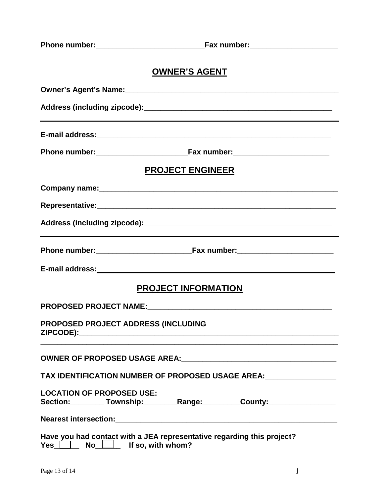| <b>OWNER'S AGENT</b>                                                                                |                                                                     |  |  |  |  |  |
|-----------------------------------------------------------------------------------------------------|---------------------------------------------------------------------|--|--|--|--|--|
|                                                                                                     |                                                                     |  |  |  |  |  |
|                                                                                                     |                                                                     |  |  |  |  |  |
|                                                                                                     |                                                                     |  |  |  |  |  |
|                                                                                                     |                                                                     |  |  |  |  |  |
| <b>PROJECT ENGINEER</b>                                                                             |                                                                     |  |  |  |  |  |
|                                                                                                     |                                                                     |  |  |  |  |  |
|                                                                                                     |                                                                     |  |  |  |  |  |
| Address (including zipcode): Manual Address (including zipcode):                                    |                                                                     |  |  |  |  |  |
|                                                                                                     |                                                                     |  |  |  |  |  |
|                                                                                                     |                                                                     |  |  |  |  |  |
|                                                                                                     | <b>PROJECT INFORMATION</b>                                          |  |  |  |  |  |
|                                                                                                     |                                                                     |  |  |  |  |  |
| PROPOSED PROJECT ADDRESS (INCLUDING                                                                 |                                                                     |  |  |  |  |  |
|                                                                                                     |                                                                     |  |  |  |  |  |
|                                                                                                     | TAX IDENTIFICATION NUMBER OF PROPOSED USAGE AREA: _________________ |  |  |  |  |  |
| <b>LOCATION OF PROPOSED USE:</b>                                                                    | Section: Township: Range: County:                                   |  |  |  |  |  |
|                                                                                                     |                                                                     |  |  |  |  |  |
| Have you had contact with a JEA representative regarding this project?<br>Yes No. If so, with whom? |                                                                     |  |  |  |  |  |